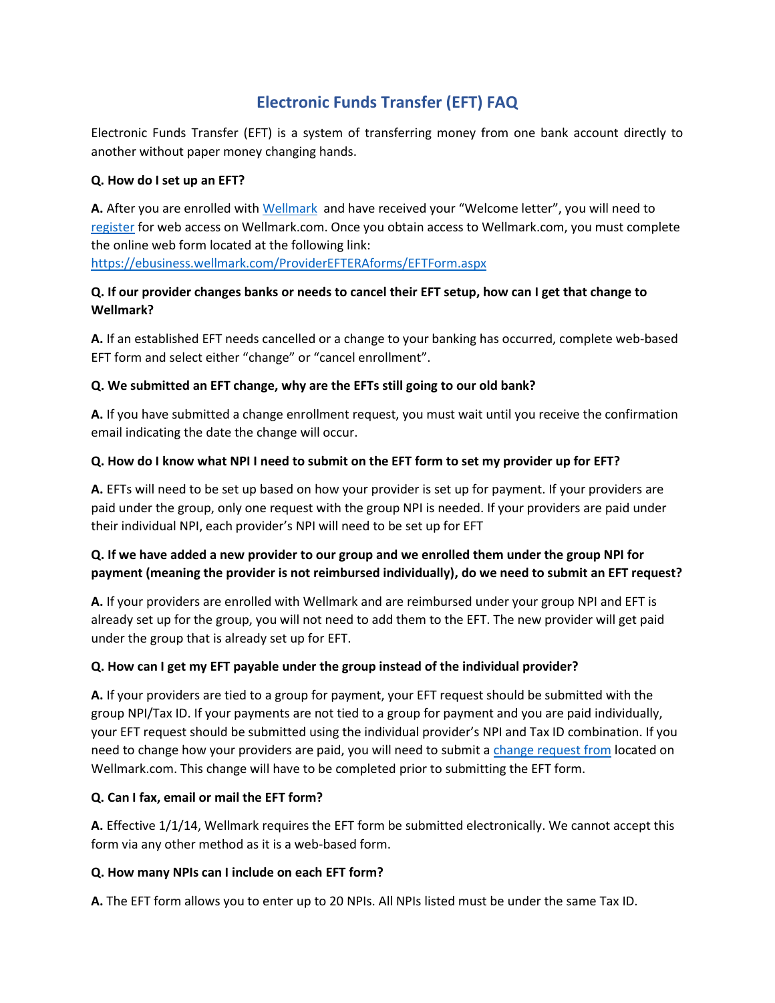# **Electronic Funds Transfer (EFT) FAQ**

Electronic Funds Transfer (EFT) is a system of transferring money from one bank account directly to another without paper money changing hands.

#### **Q. How do I set up an EFT?**

**A.** After you are enrolled wit[h Wellmark](http://www.wellmark.com/Provider/CredentialingAndEnrollment/CredentialingAndEnrollmentHome.aspx#apply) and have received your "Welcome letter", you will need to [register](http://www.wellmark.com/Provider/Register.aspx) for web access on Wellmark.com. Once you obtain access to Wellmark.com, you must complete the online web form located at the following link:

<https://ebusiness.wellmark.com/ProviderEFTERAforms/EFTForm.aspx>

## **Q. If our provider changes banks or needs to cancel their EFT setup, how can I get that change to Wellmark?**

**A.** If an established EFT needs cancelled or a change to your banking has occurred, complete web-based EFT form and select either "change" or "cancel enrollment".

## **Q. We submitted an EFT change, why are the EFTs still going to our old bank?**

**A.** If you have submitted a change enrollment request, you must wait until you receive the confirmation email indicating the date the change will occur.

#### **Q. How do I know what NPI I need to submit on the EFT form to set my provider up for EFT?**

**A.** EFTs will need to be set up based on how your provider is set up for payment. If your providers are paid under the group, only one request with the group NPI is needed. If your providers are paid under their individual NPI, each provider's NPI will need to be set up for EFT

## **Q. If we have added a new provider to our group and we enrolled them under the group NPI for payment (meaning the provider is not reimbursed individually), do we need to submit an EFT request?**

**A.** If your providers are enrolled with Wellmark and are reimbursed under your group NPI and EFT is already set up for the group, you will not need to add them to the EFT. The new provider will get paid under the group that is already set up for EFT.

#### **Q. How can I get my EFT payable under the group instead of the individual provider?**

**A.** If your providers are tied to a group for payment, your EFT request should be submitted with the group NPI/Tax ID. If your payments are not tied to a group for payment and you are paid individually, your EFT request should be submitted using the individual provider's NPI and Tax ID combination. If you need to change how your providers are paid, you will need to submit a [change request from](https://www.wellmark.com/Provider/CommunicationAndResources/PDFs/FormsHTTPS/providerchangeform.asp) located on Wellmark.com. This change will have to be completed prior to submitting the EFT form.

#### **Q. Can I fax, email or mail the EFT form?**

**A.** Effective 1/1/14, Wellmark requires the EFT form be submitted electronically. We cannot accept this form via any other method as it is a web-based form.

#### **Q. How many NPIs can I include on each EFT form?**

**A.** The EFT form allows you to enter up to 20 NPIs. All NPIs listed must be under the same Tax ID.